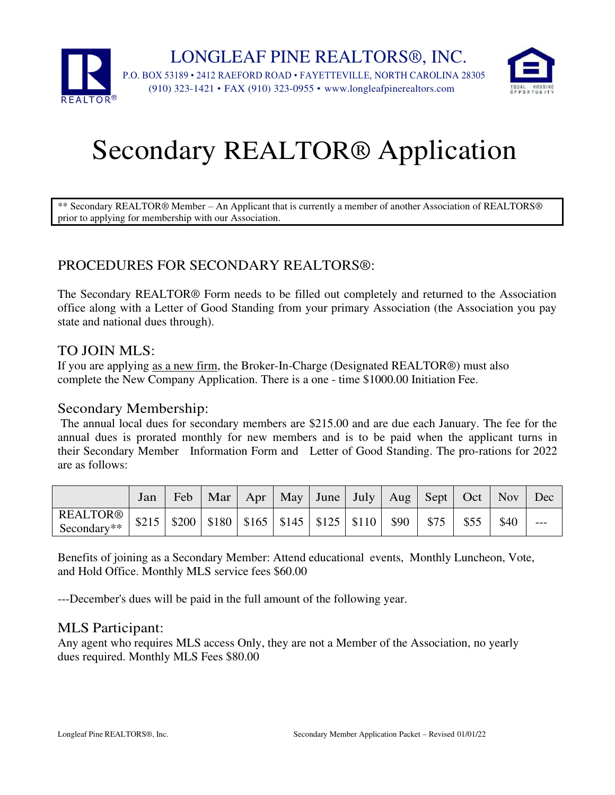

# Secondary REALTOR® Application

\*\* Secondary REALTOR® Member – An Applicant that is currently a member of another Association of REALTORS® prior to applying for membership with our Association.

### PROCEDURES FOR SECONDARY REALTORS®:

The Secondary REALTOR® Form needs to be filled out completely and returned to the Association office along with a Letter of Good Standing from your primary Association (the Association you pay state and national dues through).

#### TO JOIN MLS:

If you are applying as a new firm, the Broker-In-Charge (Designated REALTOR®) must also complete the New Company Application. There is a one - time \$1000.00 Initiation Fee.

#### Secondary Membership:

The annual local dues for secondary members are \$215.00 and are due each January. The fee for the annual dues is prorated monthly for new members and is to be paid when the applicant turns in their Secondary Member Information Form and Letter of Good Standing. The pro-rations for 2022 are as follows:

|                                                                                                                                                                       | Jan | Feb   Mar   Apr   May   June   July   Aug   Sept   Oct   Nov   Dec |  |  |  |      |  |
|-----------------------------------------------------------------------------------------------------------------------------------------------------------------------|-----|--------------------------------------------------------------------|--|--|--|------|--|
| $\frac{\text{REALTOR@}}{\text{Cessel811:}} \left  3215 \right  3200 \left  3180 \right  3165 \left  3145 \right  3125 \left  3110 \right  390 \left  375 \right  355$ |     |                                                                    |  |  |  | \$40 |  |

Benefits of joining as a Secondary Member: Attend educational events, Monthly Luncheon, Vote, and Hold Office. Monthly MLS service fees \$60.00

---December's dues will be paid in the full amount of the following year.

#### MLS Participant:

Any agent who requires MLS access Only, they are not a Member of the Association, no yearly dues required. Monthly MLS Fees \$80.00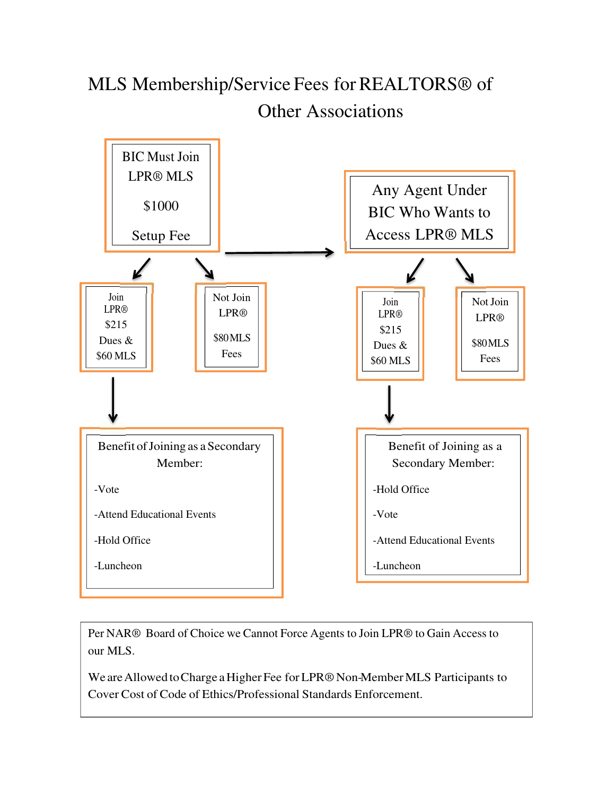## MLS Membership/Service Fees for REALTORS® of Other Associations



Per NAR® Board of Choice we Cannot Force Agents to Join LPR® to Gain Access to our MLS.

We are Allowed to Charge a Higher Fee for LPR® Non-Member MLS Participants to Cover Cost of Code of Ethics/Professional Standards Enforcement.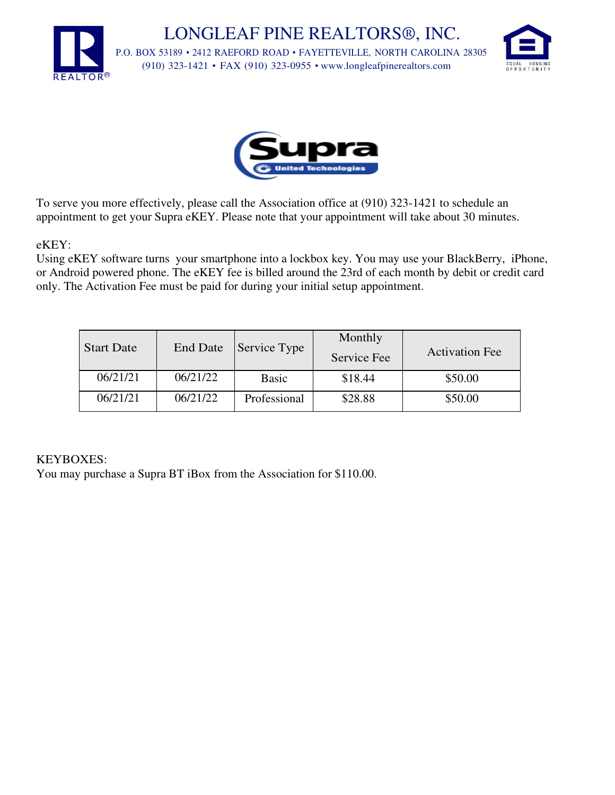LONGLEAF PINE REALTORS®, INC. P.O. BOX 53189 • 2412 RAEFORD ROAD • FAYETTEVILLE, NORTH CAROLINA 28305 (910) 323-1421 • FAX (910) 323-0955 • [www.longleafpinerealtors.com](http://www.longleafpinerealtors.com/)





To serve you more effectively, please call the Association office at (910) 323-1421 to schedule an appointment to get your Supra eKEY. Please note that your appointment will take about 30 minutes.

eKEY:

Using eKEY software turns your smartphone into a lockbox key. You may use your BlackBerry, iPhone, or Android powered phone. The eKEY fee is billed around the 23rd of each month by debit or credit card only. The Activation Fee must be paid for during your initial setup appointment.

| <b>Start Date</b> | <b>End Date</b> |              | Monthly<br>Service Fee | <b>Activation Fee</b> |  |  |
|-------------------|-----------------|--------------|------------------------|-----------------------|--|--|
| 06/21/21          | 06/21/22        | <b>Basic</b> | \$18.44                | \$50.00               |  |  |
| 06/21/21          | 06/21/22        | Professional | \$28.88                | \$50.00               |  |  |

#### KEYBOXES:

You may purchase a Supra BT iBox from the Association for \$110.00.